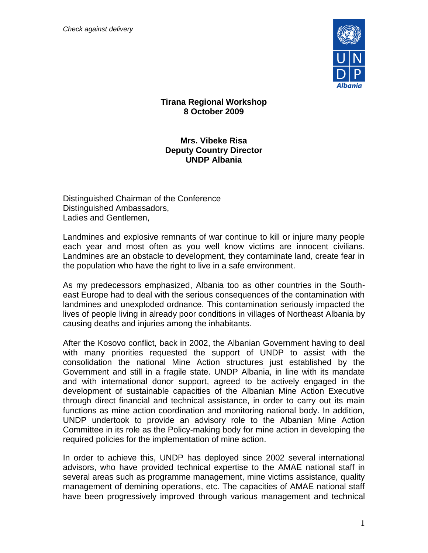*Check against delivery*



## **Tirana Regional Workshop 8 October 2009**

## **Mrs. Vibeke Risa Deputy Country Director UNDP Albania**

Distinguished Chairman of the Conference Distinguished Ambassadors, Ladies and Gentlemen,

Landmines and explosive remnants of war continue to kill or injure many people each year and most often as you well know victims are innocent civilians. Landmines are an obstacle to development, they contaminate land, create fear in the population who have the right to live in a safe environment.

As my predecessors emphasized, Albania too as other countries in the Southeast Europe had to deal with the serious consequences of the contamination with landmines and unexploded ordnance. This contamination seriously impacted the lives of people living in already poor conditions in villages of Northeast Albania by causing deaths and injuries among the inhabitants.

After the Kosovo conflict, back in 2002, the Albanian Government having to deal with many priorities requested the support of UNDP to assist with the consolidation the national Mine Action structures just established by the Government and still in a fragile state. UNDP Albania, in line with its mandate and with international donor support, agreed to be actively engaged in the development of sustainable capacities of the Albanian Mine Action Executive through direct financial and technical assistance, in order to carry out its main functions as mine action coordination and monitoring national body. In addition, UNDP undertook to provide an advisory role to the Albanian Mine Action Committee in its role as the Policy-making body for mine action in developing the required policies for the implementation of mine action.

In order to achieve this, UNDP has deployed since 2002 several international advisors, who have provided technical expertise to the AMAE national staff in several areas such as programme management, mine victims assistance, quality management of demining operations, etc. The capacities of AMAE national staff have been progressively improved through various management and technical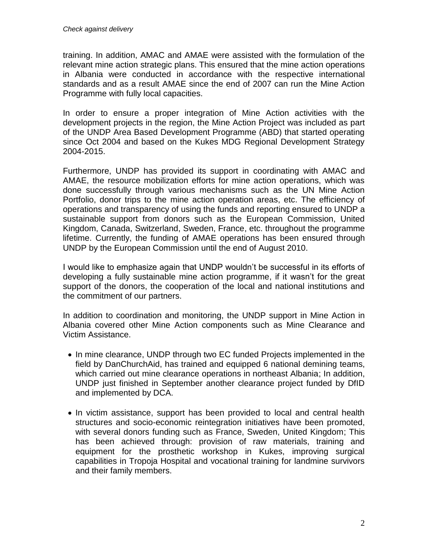training. In addition, AMAC and AMAE were assisted with the formulation of the relevant mine action strategic plans. This ensured that the mine action operations in Albania were conducted in accordance with the respective international standards and as a result AMAE since the end of 2007 can run the Mine Action Programme with fully local capacities.

In order to ensure a proper integration of Mine Action activities with the development projects in the region, the Mine Action Project was included as part of the UNDP Area Based Development Programme (ABD) that started operating since Oct 2004 and based on the Kukes MDG Regional Development Strategy 2004-2015.

Furthermore, UNDP has provided its support in coordinating with AMAC and AMAE, the resource mobilization efforts for mine action operations, which was done successfully through various mechanisms such as the UN Mine Action Portfolio, donor trips to the mine action operation areas, etc. The efficiency of operations and transparency of using the funds and reporting ensured to UNDP a sustainable support from donors such as the European Commission, United Kingdom, Canada, Switzerland, Sweden, France, etc. throughout the programme lifetime. Currently, the funding of AMAE operations has been ensured through UNDP by the European Commission until the end of August 2010.

I would like to emphasize again that UNDP wouldn't be successful in its efforts of developing a fully sustainable mine action programme, if it wasn't for the great support of the donors, the cooperation of the local and national institutions and the commitment of our partners.

In addition to coordination and monitoring, the UNDP support in Mine Action in Albania covered other Mine Action components such as Mine Clearance and Victim Assistance.

- In mine clearance, UNDP through two EC funded Projects implemented in the field by DanChurchAid, has trained and equipped 6 national demining teams, which carried out mine clearance operations in northeast Albania; In addition, UNDP just finished in September another clearance project funded by DfID and implemented by DCA.
- In victim assistance, support has been provided to local and central health structures and socio-economic reintegration initiatives have been promoted, with several donors funding such as France, Sweden, United Kingdom; This has been achieved through: provision of raw materials, training and equipment for the prosthetic workshop in Kukes, improving surgical capabilities in Tropoja Hospital and vocational training for landmine survivors and their family members.